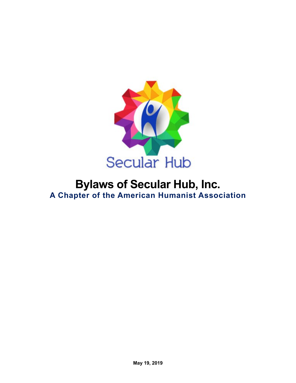

## **Bylaws of Secular Hub, Inc. A Chapter of the American Humanist Association**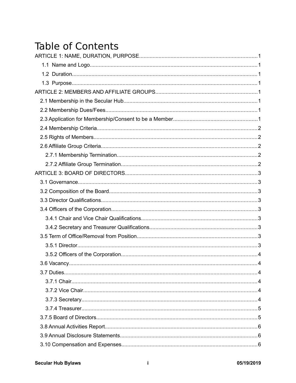## **Table of Contents**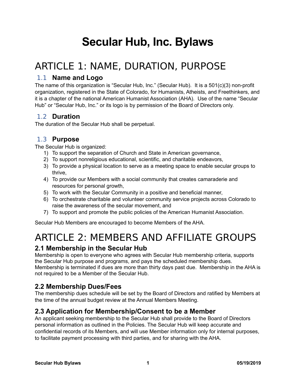# **Secular Hub, Inc. Bylaws**

## <span id="page-3-7"></span>ARTICLE 1: NAME, DURATION, PURPOSE

#### <span id="page-3-6"></span>1.1 **Name and Logo**

The name of this organization is "Secular Hub, Inc." (Secular Hub). It is a 501(c)(3) non-profit organization, registered in the State of Colorado, for Humanists, Atheists, and Freethinkers, and it is a chapter of the national American Humanist Association (AHA). Use of the name "Secular Hub" or "Secular Hub, Inc." or its logo is by permission of the Board of Directors only.

#### <span id="page-3-5"></span>1.2 **Duration**

The duration of the Secular Hub shall be perpetual.

#### <span id="page-3-4"></span>1.3 **Purpose**

The Secular Hub is organized:

- 1) To support the separation of Church and State in American governance,
- 2) To support nonreligious educational, scientific, and charitable endeavors,
- 3) To provide a physical location to serve as a meeting space to enable secular groups to thrive,
- 4) To provide our Members with a social community that creates camaraderie and resources for personal growth,
- 5) To work with the Secular Community in a positive and beneficial manner,
- 6) To orchestrate charitable and volunteer community service projects across Colorado to raise the awareness of the secular movement, and
- 7) To support and promote the public policies of the American Humanist Association.

Secular Hub Members are encouraged to become Members of the AHA.

## <span id="page-3-3"></span>ARTICLE 2: MEMBERS AND AFFILIATE GROUPS

#### <span id="page-3-2"></span>**2.1 Membership in the Secular Hub**

Membership is open to everyone who agrees with Secular Hub membership criteria, supports the Secular Hub purpose and programs, and pays the scheduled membership dues.

Membership is terminated if dues are more than thirty days past due. Membership in the AHA is not required to be a Member of the Secular Hub.

### <span id="page-3-1"></span>**2.2 Membership Dues/Fees**

The membership dues schedule will be set by the Board of Directors and ratified by Members at the time of the annual budget review at the Annual Members Meeting.

#### <span id="page-3-0"></span>**2.3 Application for Membership/Consent to be a Member**

An applicant seeking membership to the Secular Hub shall provide to the Board of Directors personal information as outlined in the Policies. The Secular Hub will keep accurate and confidential records of its Members, and will use Member information only for internal purposes, to facilitate payment processing with third parties, and for sharing with the AHA.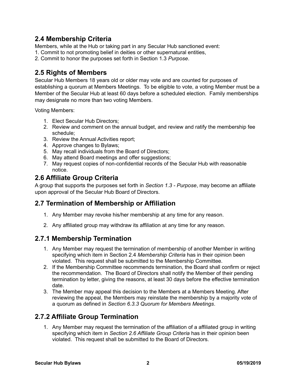## <span id="page-4-4"></span>**2.4 Membership Criteria**

Members, while at the Hub or taking part in any Secular Hub sanctioned event:

1. Commit to not promoting belief in deities or other supernatural entities,

2. Commit to honor the purposes set forth in Section 1.3 *Purpose*.

## <span id="page-4-3"></span>**2.5 Rights of Members**

Secular Hub Members 18 years old or older may vote and are counted for purposes of establishing a quorum at Members Meetings. To be eligible to vote, a voting Member must be a Member of the Secular Hub at least 60 days before a scheduled election. Family memberships may designate no more than two voting Members.

Voting Members:

- 1. Elect Secular Hub Directors;
- 2. Review and comment on the annual budget, and review and ratify the membership fee schedule;
- 3. Review the Annual Activities report;
- 4. Approve changes to Bylaws;
- 5. May recall individuals from the Board of Directors;
- 6. May attend Board meetings and offer suggestions;
- 7. May request copies of non-confidential records of the Secular Hub with reasonable notice.

### <span id="page-4-2"></span>**2.6 Affiliate Group Criteria**

A group that supports the purposes set forth in *Section 1.3 - Purpose*, may become an affiliate upon approval of the Secular Hub Board of Directors.

### **2.7 Termination of Membership or Affiliation**

- 1. Any Member may revoke his/her membership at any time for any reason.
- 2. Any affiliated group may withdraw its affiliation at any time for any reason.

### <span id="page-4-1"></span>**2.7.1 Membership Termination**

- 1. Any Member may request the termination of membership of another Member in writing specifying which item in Section 2.4 *Membership Criteria* has in their opinion been violated. This request shall be submitted to the Membership Committee.
- 2. If the Membership Committee recommends termination, the Board shall confirm or reject the recommendation. The Board of Directors shall notify the Member of their pending termination by letter, giving the reasons, at least 30 days before the effective termination date.
- 3. The Member may appeal this decision to the Members at a Members Meeting. After reviewing the appeal, the Members may reinstate the membership by a majority vote of a quorum as defined in *Section 6.3.3 Quorum for Members Meetings*.

## <span id="page-4-0"></span>**2.7.2 Affiliate Group Termination**

1. Any Member may request the termination of the affiliation of a affiliated group in writing specifying which item in *Section 2.6 Affiliate Group Criteria* has in their opinion been violated. This request shall be submitted to the Board of Directors.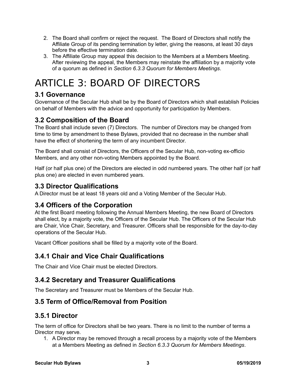- 2. The Board shall confirm or reject the request. The Board of Directors shall notify the Affiliate Group of its pending termination by letter, giving the reasons, at least 30 days before the effective termination date.
- 3. The Affiliate Group may appeal this decision to the Members at a Members Meeting. After reviewing the appeal, the Members may reinstate the affiliation by a majority vote of a quorum as defined in *Section 6.3.3 Quorum for Members Meetings*.

## <span id="page-5-8"></span>ARTICLE 3: BOARD OF DIRECTORS

## <span id="page-5-7"></span>**3.1 Governance**

Governance of the Secular Hub shall be by the Board of Directors which shall establish Policies on behalf of Members with the advice and opportunity for participation by Members.

## <span id="page-5-6"></span>**3.2 Composition of the Board**

The Board shall include seven (7) Directors. The number of Directors may be changed from time to time by amendment to these Bylaws, provided that no decrease in the number shall have the effect of shortening the term of any incumbent Director.

The Board shall consist of Directors, the Officers of the Secular Hub, non-voting ex-officio Members, and any other non-voting Members appointed by the Board.

Half (or half plus one) of the Directors are elected in odd numbered years. The other half (or half plus one) are elected in even numbered years.

### <span id="page-5-5"></span>**3.3 Director Qualifications**

A Director must be at least 18 years old and a Voting Member of the Secular Hub.

### <span id="page-5-4"></span>**3.4 Officers of the Corporation**

At the first Board meeting following the Annual Members Meeting, the new Board of Directors shall elect, by a majority vote, the Officers of the Secular Hub. The Officers of the Secular Hub are Chair, Vice Chair, Secretary, and Treasurer. Officers shall be responsible for the day-to-day operations of the Secular Hub.

Vacant Officer positions shall be filled by a majority vote of the Board.

### <span id="page-5-3"></span>**3.4.1 Chair and Vice Chair Qualifications**

The Chair and Vice Chair must be elected Directors.

### <span id="page-5-2"></span>**3.4.2 Secretary and Treasurer Qualifications**

The Secretary and Treasurer must be Members of the Secular Hub.

### <span id="page-5-1"></span>**3.5 Term of Office/Removal from Position**

### <span id="page-5-0"></span>**3.5.1 Director**

The term of office for Directors shall be two years. There is no limit to the number of terms a Director may serve.

1. A Director may be removed through a recall process by a majority vote of the Members at a Members Meeting as defined in *Section 6.3.3 Quorum for Members Meetings*.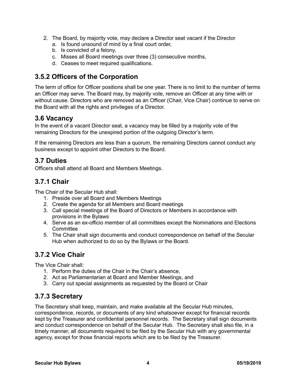- 2. The Board, by majority vote, may declare a Director seat vacant if the Director
	- a. Is found unsound of mind by a final court order,
	- b. Is convicted of a felony,
	- c. Misses all Board meetings over three (3) consecutive months,
	- d. Ceases to meet required qualifications.

## <span id="page-6-5"></span>**3.5.2 Officers of the Corporation**

The term of office for Officer positions shall be one year. There is no limit to the number of terms an Officer may serve. The Board may, by majority vote, remove an Officer at any time with or without cause. Directors who are removed as an Officer (Chair, Vice Chair) continue to serve on the Board with all the rights and privileges of a Director.

#### <span id="page-6-4"></span>**3.6 Vacancy**

In the event of a vacant Director seat, a vacancy may be filled by a majority vote of the remaining Directors for the unexpired portion of the outgoing Director's term.

If the remaining Directors are less than a quorum, the remaining Directors cannot conduct any business except to appoint other Directors to the Board.

#### <span id="page-6-3"></span>**3.7 Duties**

Officers shall attend all Board and Members Meetings.

### <span id="page-6-2"></span>**3.7.1 Chair**

The Chair of the Secular Hub shall:

- 1. Preside over all Board and Members Meetings
- 2. Create the agenda for all Members and Board meetings
- 3. Call special meetings of the Board of Directors or Members in accordance with provisions in the Bylaws
- 4. Serve as an ex-officio member of all committees except the Nominations and Elections **Committee**
- 5. The Chair shall sign documents and conduct correspondence on behalf of the Secular Hub when authorized to do so by the Bylaws or the Board.

### <span id="page-6-1"></span>**3.7.2 Vice Chair**

The Vice Chair shall:

- 1. Perform the duties of the Chair in the Chair's absence,
- 2. Act as Parliamentarian at Board and Member Meetings, and
- 3. Carry out special assignments as requested by the Board or Chair

### <span id="page-6-0"></span>**3.7.3 Secretary**

The Secretary shall keep, maintain, and make available all the Secular Hub minutes, correspondence, records, or documents of any kind whatsoever except for financial records kept by the Treasurer and confidential personnel records. The Secretary shall sign documents and conduct correspondence on behalf of the Secular Hub. The Secretary shall also file, in a timely manner, all documents required to be filed by the Secular Hub with any governmental agency, except for those financial reports which are to be filed by the Treasurer.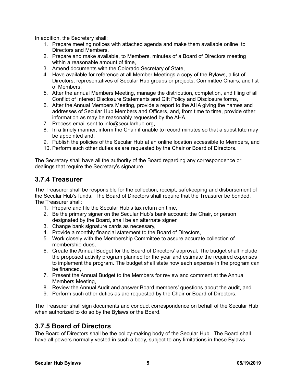In addition, the Secretary shall:

- 1. Prepare meeting notices with attached agenda and make them available online to Directors and Members,
- 2. Prepare and make available, to Members, minutes of a Board of Directors meeting within a reasonable amount of time.
- 3. Amend documents with the Colorado Secretary of State,
- 4. Have available for reference at all Member Meetings a copy of the Bylaws, a list of Directors, representatives of Secular Hub groups or projects, Committee Chairs, and list of Members,
- 5. After the annual Members Meeting, manage the distribution, completion, and filing of all Conflict of Interest Disclosure Statements and Gift Policy and Disclosure forms,
- 6. After the Annual Members Meeting, provide a report to the AHA giving the names and addresses of Secular Hub Members and Officers, and, from time to time, provide other information as may be reasonably requested by the AHA,
- 7. Process email sent to info@secularhub.org,
- 8. In a timely manner, inform the Chair if unable to record minutes so that a substitute may be appointed and,
- 9. Publish the policies of the Secular Hub at an online location accessible to Members, and
- 10. Perform such other duties as are requested by the Chair or Board of Directors.

The Secretary shall have all the authority of the Board regarding any correspondence or dealings that require the Secretary's signature.

#### <span id="page-7-1"></span>**3.7.4 Treasurer**

The Treasurer shall be responsible for the collection, receipt, safekeeping and disbursement of the Secular Hub's funds. The Board of Directors shall require that the Treasurer be bonded. The Treasurer shall:

- 1. Prepare and file the Secular Hub's tax return on time,
- 2. Be the primary signer on the Secular Hub's bank account; the Chair, or person designated by the Board, shall be an alternate signer,
- 3. Change bank signature cards as necessary,
- 4. Provide a monthly financial statement to the Board of Directors,
- 5. Work closely with the Membership Committee to assure accurate collection of membership dues,
- 6. Create the Annual Budget for the Board of Directors' approval. The budget shall include the proposed activity program planned for the year and estimate the required expenses to implement the program. The budget shall state how each expense in the program can be financed,
- 7. Present the Annual Budget to the Members for review and comment at the Annual Members Meeting,
- 8. Review the Annual Audit and answer Board members' questions about the audit, and
- 9. Perform such other duties as are requested by the Chair or Board of Directors.

The Treasurer shall sign documents and conduct correspondence on behalf of the Secular Hub when authorized to do so by the Bylaws or the Board.

### <span id="page-7-0"></span>**3.7.5 Board of Directors**

The Board of Directors shall be the policy-making body of the Secular Hub. The Board shall have all powers normally vested in such a body, subject to any limitations in these Bylaws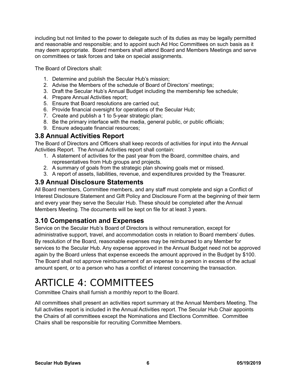including but not limited to the power to delegate such of its duties as may be legally permitted and reasonable and responsible; and to appoint such Ad Hoc Committees on such basis as it may deem appropriate. Board members shall attend Board and Members Meetings and serve on committees or task forces and take on special assignments.

The Board of Directors shall:

- 1. Determine and publish the Secular Hub's mission;
- 2. Advise the Members of the schedule of Board of Directors' meetings;
- 3. Draft the Secular Hub's Annual Budget including the membership fee schedule;
- 4. Prepare Annual Activities report;
- 5. Ensure that Board resolutions are carried out;
- 6. Provide financial oversight for operations of the Secular Hub;
- 7. Create and publish a 1 to 5-year strategic plan;
- 8. Be the primary interface with the media, general public, or public officials;
- 9. Ensure adequate financial resources;

#### <span id="page-8-2"></span>**3.8 Annual Activities Report**

The Board of Directors and Officers shall keep records of activities for input into the Annual Activities Report. The Annual Activities report shall contain:

- 1. A statement of activities for the past year from the Board, committee chairs, and representatives from Hub groups and projects.
- 2. A summary of goals from the strategic plan showing goals met or missed.
- 3. A report of assets, liabilities, revenue, and expenditures provided by the Treasurer.

#### <span id="page-8-1"></span>**3.9 Annual Disclosure Statements**

All Board members, Committee members, and any staff must complete and sign a Conflict of Interest Disclosure Statement and Gift Policy and Disclosure Form at the beginning of their term and every year they serve the Secular Hub. These should be completed after the Annual Members Meeting. The documents will be kept on file for at least 3 years.

## <span id="page-8-0"></span>**3.10 Compensation and Expenses**

Service on the Secular Hub's Board of Directors is without remuneration, except for administrative support, travel, and accommodation costs in relation to Board members' duties. By resolution of the Board, reasonable expenses may be reimbursed to any Member for services to the Secular Hub. Any expense approved in the Annual Budget need not be approved again by the Board unless that expense exceeds the amount approved in the Budget by \$100. The Board shall not approve reimbursement of an expense to a person in excess of the actual amount spent, or to a person who has a conflict of interest concerning the transaction.

## <span id="page-8-3"></span>ARTICLE 4: COMMITTEES

Committee Chairs shall furnish a monthly report to the Board.

All committees shall present an activities report summary at the Annual Members Meeting. The full activities report is included in the Annual Activities report. The Secular Hub Chair appoints the Chairs of all committees except the Nominations and Elections Committee. Committee Chairs shall be responsible for recruiting Committee Members.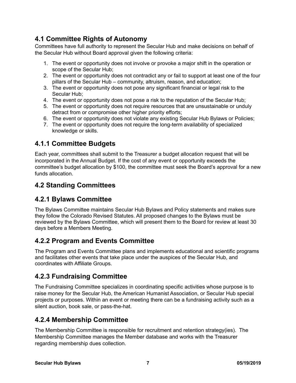## <span id="page-9-6"></span>**4.1 Committee Rights of Autonomy**

Committees have full authority to represent the Secular Hub and make decisions on behalf of the Secular Hub without Board approval given the following criteria:

- 1. The event or opportunity does not involve or provoke a major shift in the operation or scope of the Secular Hub;
- 2. The event or opportunity does not contradict any or fail to support at least one of the four pillars of the Secular Hub – community, altruism, reason, and education;
- 3. The event or opportunity does not pose any significant financial or legal risk to the Secular Hub;
- 4. The event or opportunity does not pose a risk to the reputation of the Secular Hub;
- 5. The event or opportunity does not require resources that are unsustainable or unduly detract from or compromise other higher priority efforts;
- 6. The event or opportunity does not violate any existing Secular Hub Bylaws or Policies;
- 7. The event or opportunity does not require the long-term availability of specialized knowledge or skills.

## <span id="page-9-5"></span>**4.1.1 Committee Budgets**

Each year, committees shall submit to the Treasurer a budget allocation request that will be incorporated in the Annual Budget. If the cost of any event or opportunity exceeds the committee's budget allocation by \$100, the committee must seek the Board's approval for a new funds allocation.

## <span id="page-9-4"></span>**4.2 Standing Committees**

## <span id="page-9-3"></span>**4.2.1 Bylaws Committee**

The Bylaws Committee maintains Secular Hub Bylaws and Policy statements and makes sure they follow the Colorado Revised Statutes. All proposed changes to the Bylaws must be reviewed by the Bylaws Committee, which will present them to the Board for review at least 30 days before a Members Meeting.

### <span id="page-9-2"></span>**4.2.2 Program and Events Committee**

The Program and Events Committee plans and implements educational and scientific programs and facilitates other events that take place under the auspices of the Secular Hub, and coordinates with Affiliate Groups.

### <span id="page-9-1"></span>**4.2.3 Fundraising Committee**

The Fundraising Committee specializes in coordinating specific activities whose purpose is to raise money for the Secular Hub, the American Humanist Association, or Secular Hub special projects or purposes. Within an event or meeting there can be a fundraising activity such as a silent auction, book sale, or pass-the-hat.

## <span id="page-9-0"></span>**4.2.4 Membership Committee**

The Membership Committee is responsible for recruitment and retention strategy(ies). The Membership Committee manages the Member database and works with the Treasurer regarding membership dues collection.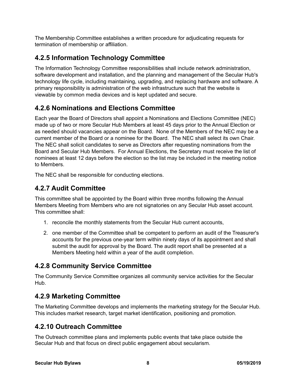The Membership Committee establishes a written procedure for adjudicating requests for termination of membership or affiliation.

## <span id="page-10-5"></span>**4.2.5 Information Technology Committee**

The Information Technology Committee responsibilities shall include network administration, software development and installation, and the planning and management of the Secular Hub's technology life cycle, including maintaining, upgrading, and replacing hardware and software. A primary responsibility is administration of the web infrastructure such that the website is viewable by common media devices and is kept updated and secure.

### <span id="page-10-4"></span>**4.2.6 Nominations and Elections Committee**

Each year the Board of Directors shall appoint a Nominations and Elections Committee (NEC) made up of two or more Secular Hub Members at least 45 days prior to the Annual Election or as needed should vacancies appear on the Board. None of the Members of the NEC may be a current member of the Board or a nominee for the Board. The NEC shall select its own Chair. The NEC shall solicit candidates to serve as Directors after requesting nominations from the Board and Secular Hub Members. For Annual Elections, the Secretary must receive the list of nominees at least 12 days before the election so the list may be included in the meeting notice to Members.

The NEC shall be responsible for conducting elections.

### <span id="page-10-3"></span>**4.2.7 Audit Committee**

This committee shall be appointed by the Board within three months following the Annual Members Meeting from Members who are not signatories on any Secular Hub asset account. This committee shall:

- 1. reconcile the monthly statements from the Secular Hub current accounts,
- 2. one member of the Committee shall be competent to perform an audit of the Treasurer's accounts for the previous one-year term within ninety days of its appointment and shall submit the audit for approval by the Board. The audit report shall be presented at a Members Meeting held within a year of the audit completion.

### <span id="page-10-2"></span>**4.2.8 Community Service Committee**

The Community Service Committee organizes all community service activities for the Secular Hub.

### <span id="page-10-1"></span>**4.2.9 Marketing Committee**

The Marketing Committee develops and implements the marketing strategy for the Secular Hub. This includes market research, target market identification, positioning and promotion.

## <span id="page-10-0"></span>**4.2.10 Outreach Committee**

The Outreach committee plans and implements public events that take place outside the Secular Hub and that focus on direct public engagement about secularism.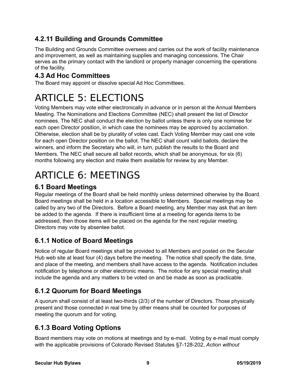## <span id="page-11-7"></span>**4.2.11 Building and Grounds Committee**

The Building and Grounds Committee oversees and carries out the work of facility maintenance and improvement, as well as maintaining supplies and managing concessions. The Chair serves as the primary contact with the landlord or property manager concerning the operations of the facility.

## <span id="page-11-6"></span>**4.3 Ad Hoc Committees**

The Board may appoint or dissolve special Ad Hoc Committees.

## <span id="page-11-5"></span>ARTICLE 5: ELECTIONS

Voting Members may vote either electronically in advance or in person at the Annual Members Meeting. The Nominations and Elections Committee (NEC) shall present the list of Director nominees. The NEC shall conduct the election by ballot unless there is only one nominee for each open Director position, in which case the nominees may be approved by acclamation. Otherwise, election shall be by plurality of votes cast. Each Voting Member may cast one vote for each open Director position on the ballot. The NEC shall count valid ballots, declare the winners, and inform the Secretary who will, in turn, publish the results to the Board and Members. The NEC shall secure all ballot records, which shall be anonymous, for six (6) months following any election and make them available for review by any Member.

## <span id="page-11-4"></span>ARTICLE 6: MEETINGS

## <span id="page-11-3"></span>**6.1 Board Meetings**

Regular meetings of the Board shall be held monthly unless determined otherwise by the Board. Board meetings shall be held in a location accessible to Members. Special meetings may be called by any two of the Directors. Before a Board meeting, any Member may ask that an item be added to the agenda. If there is insufficient time at a meeting for agenda items to be addressed, then those items will be placed on the agenda for the next regular meeting. Directors may vote by absentee ballot.

## <span id="page-11-2"></span>**6.1.1 Notice of Board Meetings**

Notice of regular Board meetings shall be provided to all Members and posted on the Secular Hub web site at least four (4) days before the meeting. The notice shall specify the date, time, and place of the meeting, and members shall have access to the agenda. Notification includes notification by telephone or other electronic means. The notice for any special meeting shall include the agenda and any matters to be voted on and be made as soon as practicable.

## <span id="page-11-1"></span>**6.1.2 Quorum for Board Meetings**

A quorum shall consist of at least two-thirds (2/3) of the number of Directors. Those physically present and those connected in real time by other means shall be counted for purposes of meeting the quorum and for voting.

## <span id="page-11-0"></span>**6.1.3 Board Voting Options**

Board members may vote on motions at meetings and by e-mail. Voting by e-mail must comply with the applicable provisions of Colorado Revised Statutes §7-128-202, *Action without*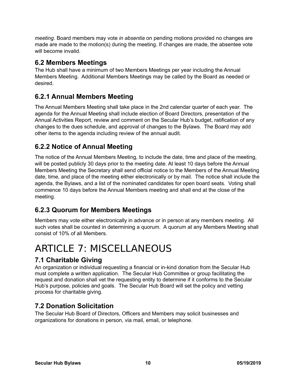*meeting*. Board members may vote *in absentia* on pending motions provided no changes are made are made to the motion(s) during the meeting. If changes are made, the absentee vote will become invalid.

#### <span id="page-12-6"></span>**6.2 Members Meetings**

The Hub shall have a minimum of two Members Meetings per year including the Annual Members Meeting. Additional Members Meetings may be called by the Board as needed or desired.

## <span id="page-12-5"></span>**6.2.1 Annual Members Meeting**

The Annual Members Meeting shall take place in the 2nd calendar quarter of each year. The agenda for the Annual Meeting shall include election of Board Directors, presentation of the Annual Activities Report, review and comment on the Secular Hub's budget, ratification of any changes to the dues schedule, and approval of changes to the Bylaws. The Board may add other items to the agenda including review of the annual audit.

## <span id="page-12-4"></span>**6.2.2 Notice of Annual Meeting**

The notice of the Annual Members Meeting, to include the date, time and place of the meeting, will be posted publicly 30 days prior to the meeting date. At least 10 days before the Annual Members Meeting the Secretary shall send official notice to the Members of the Annual Meeting date, time, and place of the meeting either electronically or by mail. The notice shall include the agenda, the Bylaws, and a list of the nominated candidates for open board seats. Voting shall commence 10 days before the Annual Members meeting and shall end at the close of the meeting.

## <span id="page-12-3"></span>**6.2.3 Quorum for Members Meetings**

Members may vote either electronically in advance or in person at any members meeting. All such votes shall be counted in determining a quorum. A quorum at any Members Meeting shall consist of 10% of all Members.

## <span id="page-12-2"></span>ARTICLE 7: MISCELLANEOUS

## <span id="page-12-1"></span>**7.1 Charitable Giving**

An organization or individual requesting a financial or in-kind donation from the Secular Hub must complete a written application. The Secular Hub Committee or group facilitating the request and donation shall vet the requesting entity to determine if it conforms to the Secular Hub's purpose, policies and goals. The Secular Hub Board will set the policy and vetting process for charitable giving.

## <span id="page-12-0"></span>**7.2 Donation Solicitation**

The Secular Hub Board of Directors, Officers and Members may solicit businesses and organizations for donations in person, via mail, email, or telephone.